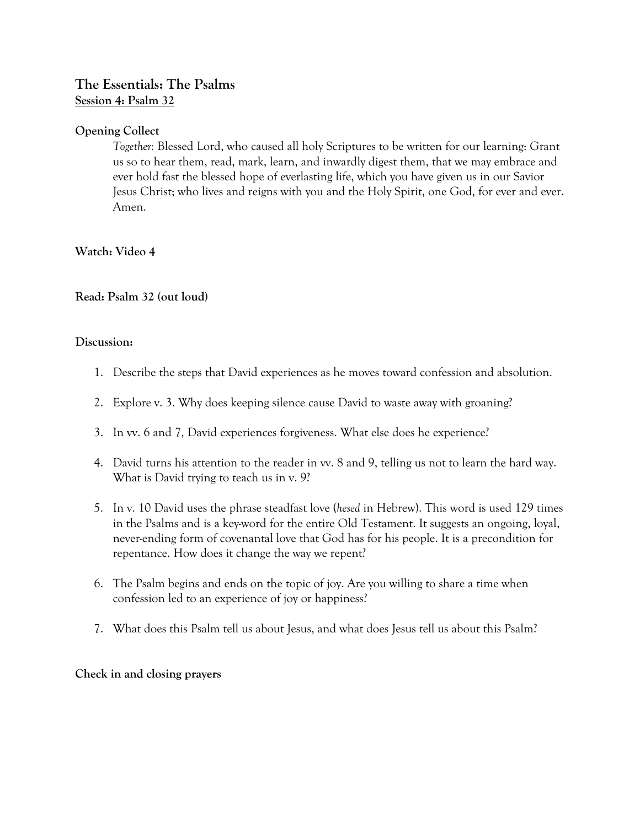# **The Essentials: The Psalms Session 4: Psalm 32**

## **Opening Collect**

*Together:* Blessed Lord, who caused all holy Scriptures to be written for our learning: Grant us so to hear them, read, mark, learn, and inwardly digest them, that we may embrace and ever hold fast the blessed hope of everlasting life, which you have given us in our Savior Jesus Christ; who lives and reigns with you and the Holy Spirit, one God, for ever and ever. Amen.

### **Watch: Video 4**

### **Read: Psalm 32 (out loud)**

#### **Discussion:**

- 1. Describe the steps that David experiences as he moves toward confession and absolution.
- 2. Explore v. 3. Why does keeping silence cause David to waste away with groaning?
- 3. In vv. 6 and 7, David experiences forgiveness. What else does he experience?
- 4. David turns his attention to the reader in vv. 8 and 9, telling us not to learn the hard way. What is David trying to teach us in v. 9?
- 5. In v. 10 David uses the phrase steadfast love (*hesed* in Hebrew). This word is used 129 times in the Psalms and is a key-word for the entire Old Testament. It suggests an ongoing, loyal, never-ending form of covenantal love that God has for his people. It is a precondition for repentance. How does it change the way we repent?
- 6. The Psalm begins and ends on the topic of joy. Are you willing to share a time when confession led to an experience of joy or happiness?
- 7. What does this Psalm tell us about Jesus, and what does Jesus tell us about this Psalm?

### **Check in and closing prayers**